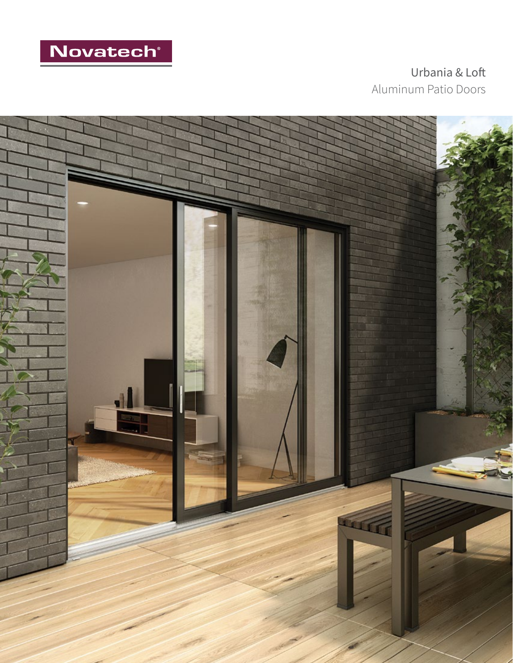

Urbania & Loft Aluminum Patio Doors

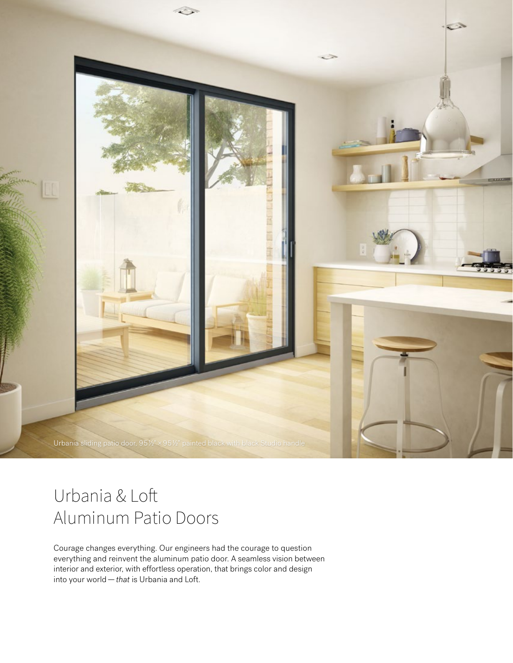

# Urbania & Loft Aluminum Patio Doors

Courage changes everything. Our engineers had the courage to question everything and reinvent the aluminum patio door. A seamless vision between interior and exterior, with effortless operation, that brings color and design into your world—*that* is Urbania and Loft.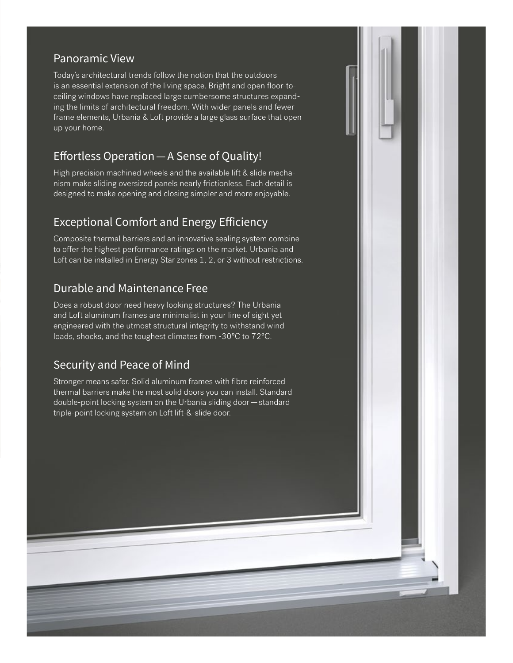## Panoramic View

Today's architectural trends follow the notion that the outdoors is an essential extension of the living space. Bright and open floor-toceiling windows have replaced large cumbersome structures expanding the limits of architectural freedom. With wider panels and fewer frame elements, Urbania & Loft provide a large glass surface that open up your home.

# Effortless Operation—A Sense of Quality!

High precision machined wheels and the available lift & slide mechanism make sliding oversized panels nearly frictionless. Each detail is designed to make opening and closing simpler and more enjoyable.

# Exceptional Comfort and Energy Efficiency

Composite thermal barriers and an innovative sealing system combine to offer the highest performance ratings on the market. Urbania and Loft can be installed in Energy Star zones 1, 2, or 3 without restrictions.

# Durable and Maintenance Free

Does a robust door need heavy looking structures? The Urbania and Loft aluminum frames are minimalist in your line of sight yet engineered with the utmost structural integrity to withstand wind loads, shocks, and the toughest climates from -30°C to 72°C.

# Security and Peace of Mind

Stronger means safer. Solid aluminum frames with fibre reinforced thermal barriers make the most solid doors you can install. Standard double-point locking system on the Urbania sliding door—standard triple-point locking system on Loft lift-&-slide door.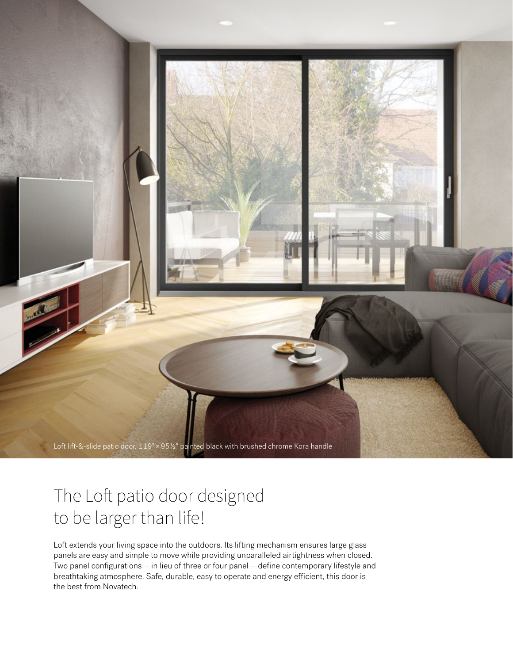

# The Loft patio door designed to be larger than life!

Loft extends your living space into the outdoors. Its lifting mechanism ensures large glass panels are easy and simple to move while providing unparalleled airtightness when closed. Two panel configurations—in lieu of three or four panel—define contemporary lifestyle and breathtaking atmosphere. Safe, durable, easy to operate and energy efficient, this door is the best from Novatech.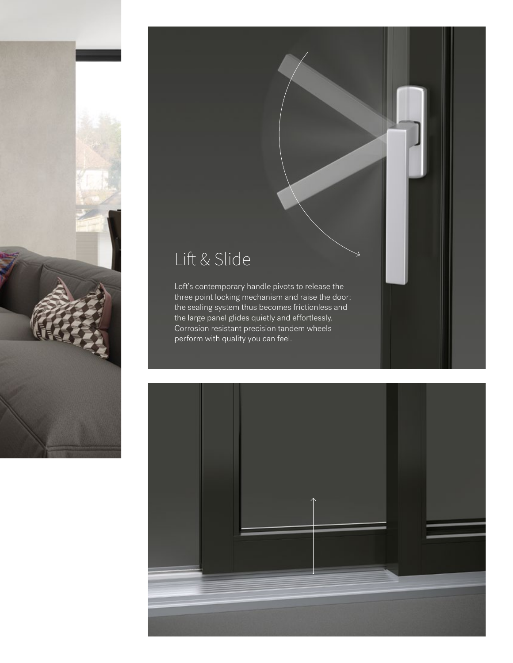

# Lift & Slide

Loft's contemporary handle pivots to release the three point locking mechanism and raise the door; the sealing system thus becomes frictionless and the large panel glides quietly and effortlessly. Corrosion resistant precision tandem wheels perform with quality you can feel.

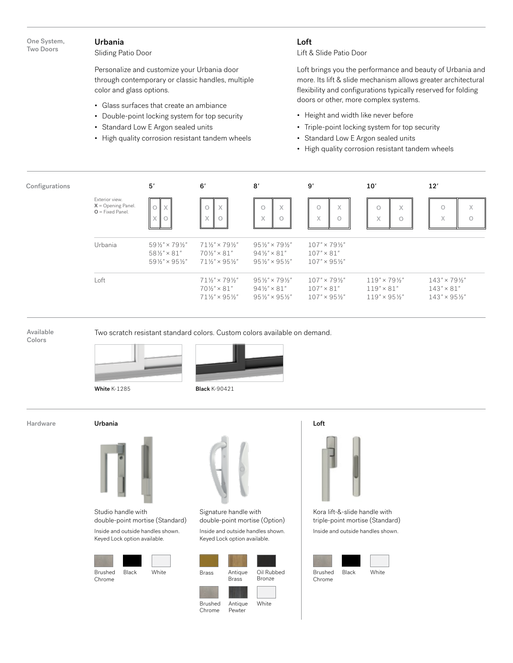## Urbania

Sliding Patio Door

Personalize and customize your Urbania door through contemporary or classic handles, multiple color and glass options.

- Glass surfaces that create an ambiance
- Double-point locking system for top security
- Standard Low E Argon sealed units
- High quality corrosion resistant tandem wheels

## Loft

Lift & Slide Patio Door

Loft brings you the performance and beauty of Urbania and more. Its lift & slide mechanism allows greater architectural flexibility and configurations typically reserved for folding doors or other, more complex systems.

- Height and width like never before
- Triple-point locking system for top security
- Standard Low E Argon sealed units
- High quality corrosion resistant tandem wheels

| Configurations |                                                               | 5'                                                                                                          | 6'                                                                                                           | 8'                                                                                                         | 9'                                                                               | 10'                                                                              | 12'                                                                              |
|----------------|---------------------------------------------------------------|-------------------------------------------------------------------------------------------------------------|--------------------------------------------------------------------------------------------------------------|------------------------------------------------------------------------------------------------------------|----------------------------------------------------------------------------------|----------------------------------------------------------------------------------|----------------------------------------------------------------------------------|
|                | Exterior view.<br>$X =$ Opening Panel.<br>$O = Fixed Panel$ . | $\circ$<br>X<br>$\checkmark$<br>O<br>∧                                                                      | $\times$                                                                                                     | X<br>$\circ$<br>X                                                                                          | $\checkmark$<br>O<br>∧<br>$\mathcal{L}$<br>$\circ$<br>л                          | X<br>$\circ$<br>$\times$<br>$\circ$                                              | $\circ$<br>X<br>X<br>$\circ$                                                     |
|                | Urbania                                                       | $59\frac{1}{2}$ " × 79 $\frac{1}{2}$ "<br>$58\frac{1}{2}$ " × 81"<br>$59\frac{1}{2}$ " × 95 $\frac{1}{2}$ " | $71\frac{1}{2}$ " × 791/ <sub>2</sub> "<br>$70\frac{1}{2}$ " × 81"<br>$71\frac{1}{2}$ " × 95 $\frac{1}{2}$ " | $95\frac{1}{2}$ " × 79 $\frac{1}{2}$ "<br>$94\frac{1}{2}$ " × 81"<br>$95\frac{1}{2}$ " × $95\frac{1}{2}$ " | $107" \times 79\frac{1}{2}$<br>$107" \times 81"$<br>$107" \times 95\frac{1}{2}"$ |                                                                                  |                                                                                  |
|                | Loft                                                          |                                                                                                             | $71\frac{1}{2}$ " × 791/ <sub>2</sub> "<br>$70\frac{1}{2}$ " × 81"<br>$71\frac{1}{2}$ " × 95 $\frac{1}{2}$ " | $95\frac{1}{2}$ " × 79 $\frac{1}{2}$ "<br>$94\frac{1}{2}$ " × 81"<br>$95\frac{1}{2}$ " × $95\frac{1}{2}$ " | $107" \times 79\frac{1}{2}$<br>$107" \times 81"$<br>$107" \times 95\frac{1}{2}$  | $119" \times 79\frac{1}{2}$<br>$119" \times 81"$<br>$119'' \times 95\frac{1}{2}$ | $143" \times 79\frac{1}{2}$<br>$143" \times 81"$<br>$143'' \times 95\frac{1}{2}$ |

Available

Two scratch resistant standard colors. Custom colors available on demand.

Colors





White K-1285 **Black K-90421** 



Urbania



Studio handle with double-point mortise (Standard)

Inside and outside handles shown. Keyed Lock option available.





Signature handle with double-point mortise (Option) Inside and outside handles shown.

Keyed Lock option available.





triple-point mortise (Standard)

Inside and outside handles shown.

Brushed Black White Chrome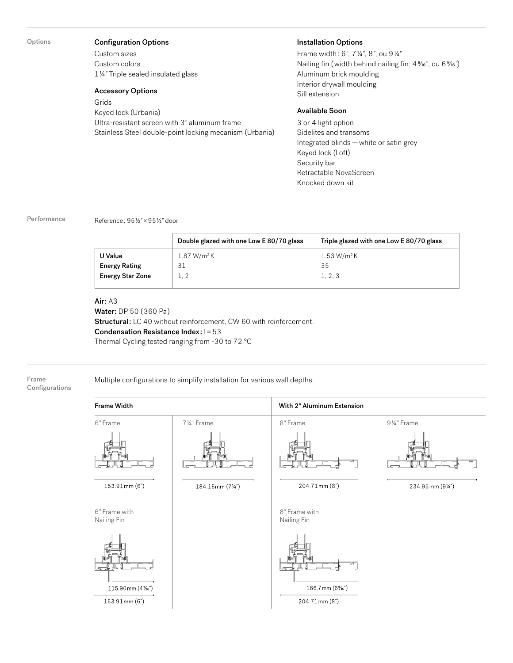Options

#### Configuration Options

Custom sizes Custom colors 1¼*"* Triple sealed insulated glass

#### Accessory Options

Grids Keyed lock (Urbania) Ultra-resistant screen with 3*"* aluminum frame Stainless Steel double-point locking mecanism (Urbania)

#### Installation Options

Frame width: 6*"*, 7¼*"*, 8*"*, ou 9¼*"* Nailing fin (width behind nailing fin:  $4\%$ <sup>"</sup>, ou  $6\%$ ") Aluminum brick moulding Interior drywall moulding Sill extension

## Available Soon

3 or 4 light option Sidelites and transoms Integrated blinds—white or satin grey Keyed lock (Loft) Security bar Retractable NovaScreen Knocked down kit

Performance Reference: 95½*"*×95½*"* door

|                         | Double glazed with one Low E 80/70 glass | Triple glazed with one Low E 80/70 glass |
|-------------------------|------------------------------------------|------------------------------------------|
| U Value                 | 1.87 W/m <sup>2</sup> K                  | 1.53 W/m <sup>2</sup> K                  |
| <b>Energy Rating</b>    | 31                                       | 35                                       |
| <b>Energy Star Zone</b> | 1.2                                      | 1, 2, 3                                  |
|                         |                                          |                                          |

#### Air: A3

Water: DP 50 (360 Pa) Structural: LC 40 without reinforcement, CW 60 with reinforcement. Condensation Resistance Index: I=53 Thermal Cycling tested ranging from -30 to 72 °C

#### Frame Configurations

Multiple configurations to simplify installation for various wall depths.